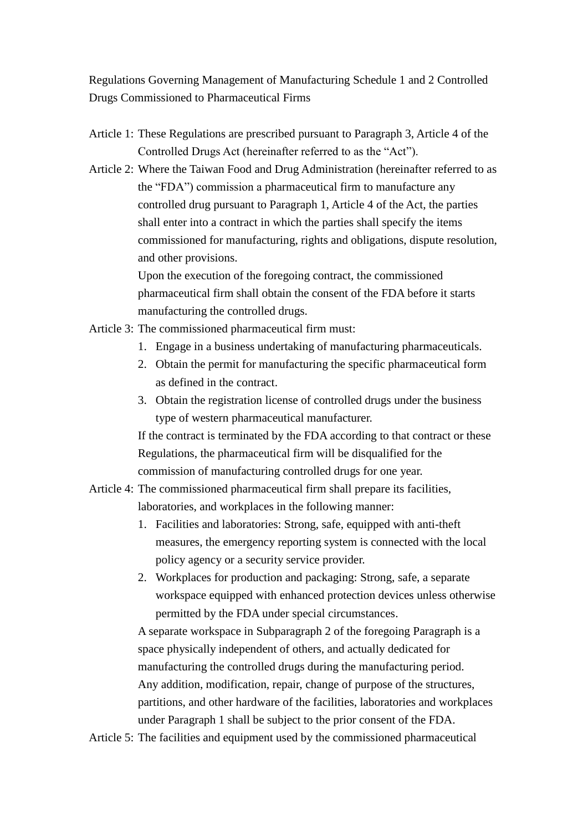Regulations Governing Management of Manufacturing Schedule 1 and 2 Controlled Drugs Commissioned to Pharmaceutical Firms

- Article 1: These Regulations are prescribed pursuant to Paragraph 3, Article 4 of the Controlled Drugs Act (hereinafter referred to as the "Act").
- Article 2: Where the Taiwan Food and Drug Administration (hereinafter referred to as the "FDA") commission a pharmaceutical firm to manufacture any controlled drug pursuant to Paragraph 1, Article 4 of the Act, the parties shall enter into a contract in which the parties shall specify the items commissioned for manufacturing, rights and obligations, dispute resolution, and other provisions.

Upon the execution of the foregoing contract, the commissioned pharmaceutical firm shall obtain the consent of the FDA before it starts manufacturing the controlled drugs.

- Article 3: The commissioned pharmaceutical firm must:
	- 1. Engage in a business undertaking of manufacturing pharmaceuticals.
	- 2. Obtain the permit for manufacturing the specific pharmaceutical form as defined in the contract.
	- 3. Obtain the registration license of controlled drugs under the business type of western pharmaceutical manufacturer.

If the contract is terminated by the FDA according to that contract or these Regulations, the pharmaceutical firm will be disqualified for the commission of manufacturing controlled drugs for one year.

- Article 4: The commissioned pharmaceutical firm shall prepare its facilities, laboratories, and workplaces in the following manner:
	- 1. Facilities and laboratories: Strong, safe, equipped with anti-theft measures, the emergency reporting system is connected with the local policy agency or a security service provider.
	- 2. Workplaces for production and packaging: Strong, safe, a separate workspace equipped with enhanced protection devices unless otherwise permitted by the FDA under special circumstances.

A separate workspace in Subparagraph 2 of the foregoing Paragraph is a space physically independent of others, and actually dedicated for manufacturing the controlled drugs during the manufacturing period. Any addition, modification, repair, change of purpose of the structures, partitions, and other hardware of the facilities, laboratories and workplaces under Paragraph 1 shall be subject to the prior consent of the FDA.

Article 5: The facilities and equipment used by the commissioned pharmaceutical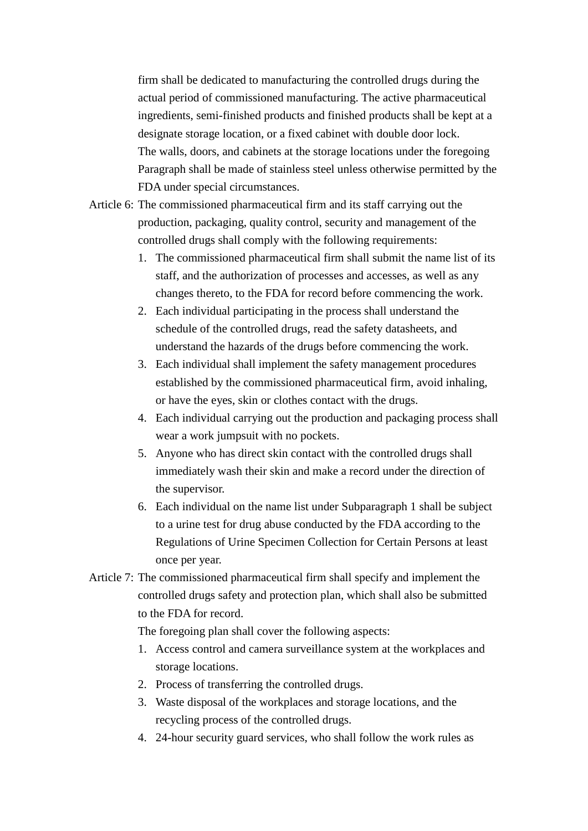firm shall be dedicated to manufacturing the controlled drugs during the actual period of commissioned manufacturing. The active pharmaceutical ingredients, semi-finished products and finished products shall be kept at a designate storage location, or a fixed cabinet with double door lock. The walls, doors, and cabinets at the storage locations under the foregoing Paragraph shall be made of stainless steel unless otherwise permitted by the FDA under special circumstances.

- Article 6: The commissioned pharmaceutical firm and its staff carrying out the production, packaging, quality control, security and management of the controlled drugs shall comply with the following requirements:
	- 1. The commissioned pharmaceutical firm shall submit the name list of its staff, and the authorization of processes and accesses, as well as any changes thereto, to the FDA for record before commencing the work.
	- 2. Each individual participating in the process shall understand the schedule of the controlled drugs, read the safety datasheets, and understand the hazards of the drugs before commencing the work.
	- 3. Each individual shall implement the safety management procedures established by the commissioned pharmaceutical firm, avoid inhaling, or have the eyes, skin or clothes contact with the drugs.
	- 4. Each individual carrying out the production and packaging process shall wear a work jumpsuit with no pockets.
	- 5. Anyone who has direct skin contact with the controlled drugs shall immediately wash their skin and make a record under the direction of the supervisor.
	- 6. Each individual on the name list under Subparagraph 1 shall be subject to a urine test for drug abuse conducted by the FDA according to the Regulations of Urine Specimen Collection for Certain Persons at least once per year.
- Article 7: The commissioned pharmaceutical firm shall specify and implement the controlled drugs safety and protection plan, which shall also be submitted to the FDA for record.

The foregoing plan shall cover the following aspects:

- 1. Access control and camera surveillance system at the workplaces and storage locations.
- 2. Process of transferring the controlled drugs.
- 3. Waste disposal of the workplaces and storage locations, and the recycling process of the controlled drugs.
- 4. 24-hour security guard services, who shall follow the work rules as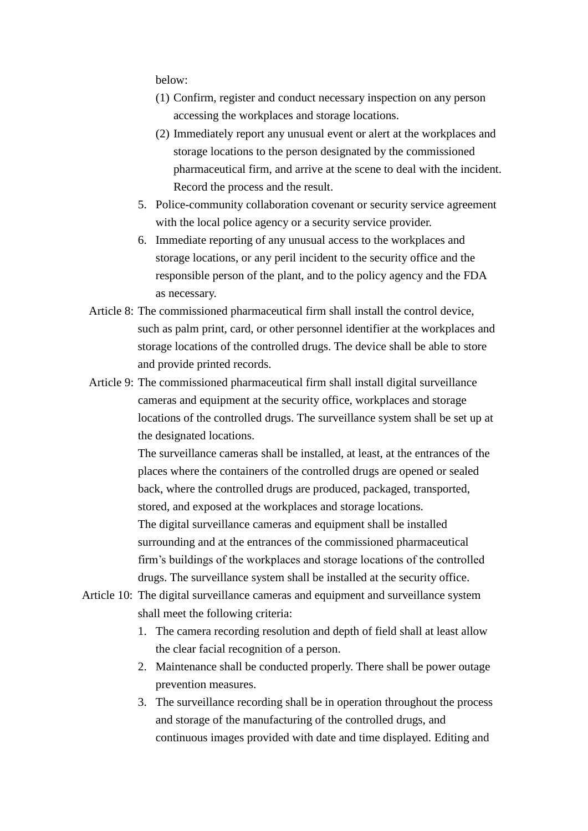below:

- (1) Confirm, register and conduct necessary inspection on any person accessing the workplaces and storage locations.
- (2) Immediately report any unusual event or alert at the workplaces and storage locations to the person designated by the commissioned pharmaceutical firm, and arrive at the scene to deal with the incident. Record the process and the result.
- 5. Police-community collaboration covenant or security service agreement with the local police agency or a security service provider.
- 6. Immediate reporting of any unusual access to the workplaces and storage locations, or any peril incident to the security office and the responsible person of the plant, and to the policy agency and the FDA as necessary.
- Article 8: The commissioned pharmaceutical firm shall install the control device, such as palm print, card, or other personnel identifier at the workplaces and storage locations of the controlled drugs. The device shall be able to store and provide printed records.
- Article 9: The commissioned pharmaceutical firm shall install digital surveillance cameras and equipment at the security office, workplaces and storage locations of the controlled drugs. The surveillance system shall be set up at the designated locations.

The surveillance cameras shall be installed, at least, at the entrances of the places where the containers of the controlled drugs are opened or sealed back, where the controlled drugs are produced, packaged, transported, stored, and exposed at the workplaces and storage locations. The digital surveillance cameras and equipment shall be installed surrounding and at the entrances of the commissioned pharmaceutical firm's buildings of the workplaces and storage locations of the controlled drugs. The surveillance system shall be installed at the security office.

- Article 10: The digital surveillance cameras and equipment and surveillance system shall meet the following criteria:
	- 1. The camera recording resolution and depth of field shall at least allow the clear facial recognition of a person.
	- 2. Maintenance shall be conducted properly. There shall be power outage prevention measures.
	- 3. The surveillance recording shall be in operation throughout the process and storage of the manufacturing of the controlled drugs, and continuous images provided with date and time displayed. Editing and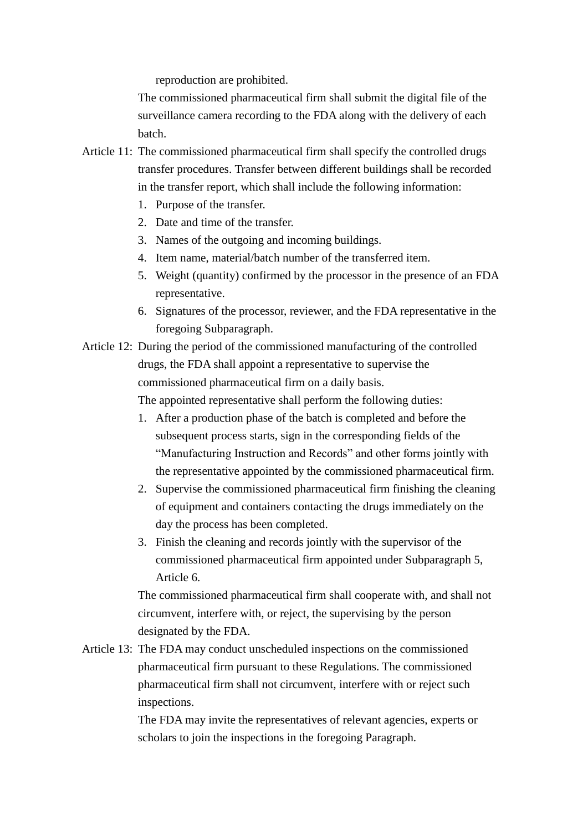reproduction are prohibited.

The commissioned pharmaceutical firm shall submit the digital file of the surveillance camera recording to the FDA along with the delivery of each batch.

- Article 11: The commissioned pharmaceutical firm shall specify the controlled drugs transfer procedures. Transfer between different buildings shall be recorded in the transfer report, which shall include the following information:
	- 1. Purpose of the transfer.
	- 2. Date and time of the transfer.
	- 3. Names of the outgoing and incoming buildings.
	- 4. Item name, material/batch number of the transferred item.
	- 5. Weight (quantity) confirmed by the processor in the presence of an FDA representative.
	- 6. Signatures of the processor, reviewer, and the FDA representative in the foregoing Subparagraph.
- Article 12: During the period of the commissioned manufacturing of the controlled drugs, the FDA shall appoint a representative to supervise the commissioned pharmaceutical firm on a daily basis. The appointed representative shall perform the following duties:
	- 1. After a production phase of the batch is completed and before the subsequent process starts, sign in the corresponding fields of the "Manufacturing Instruction and Records" and other forms jointly with the representative appointed by the commissioned pharmaceutical firm.
	- 2. Supervise the commissioned pharmaceutical firm finishing the cleaning of equipment and containers contacting the drugs immediately on the day the process has been completed.
	- 3. Finish the cleaning and records jointly with the supervisor of the commissioned pharmaceutical firm appointed under Subparagraph 5, Article 6.

The commissioned pharmaceutical firm shall cooperate with, and shall not circumvent, interfere with, or reject, the supervising by the person designated by the FDA.

Article 13: The FDA may conduct unscheduled inspections on the commissioned pharmaceutical firm pursuant to these Regulations. The commissioned pharmaceutical firm shall not circumvent, interfere with or reject such inspections.

> The FDA may invite the representatives of relevant agencies, experts or scholars to join the inspections in the foregoing Paragraph.